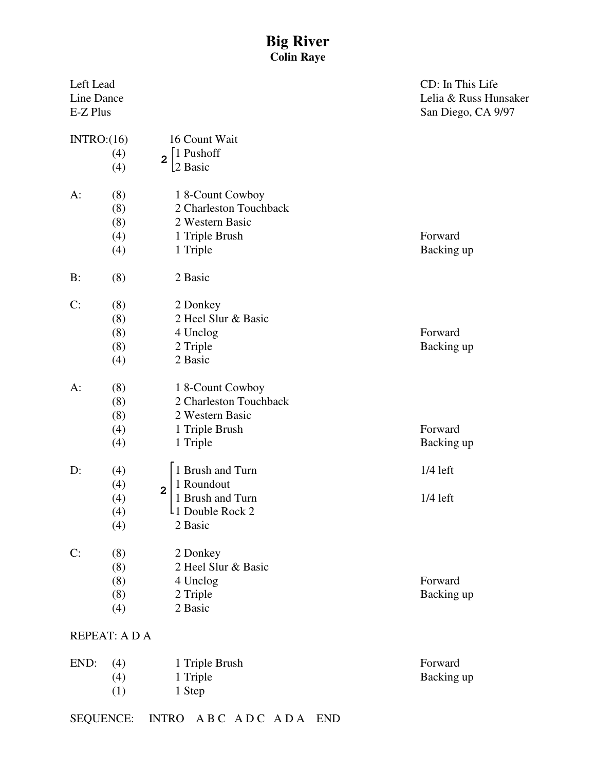## **Big River Colin Raye**

| Left Lead<br>Line Dance<br>E-Z Plus      |                                                                                                     | CD: In This Life<br>Lelia & Russ Hunsaker<br>San Diego, CA 9/97 |
|------------------------------------------|-----------------------------------------------------------------------------------------------------|-----------------------------------------------------------------|
| INTRO: (16)<br>(4)<br>(4)                | 16 Count Wait<br>1 Pushoff<br>$\overline{2}$<br>2 Basic                                             |                                                                 |
| (8)<br>$A$ :<br>(8)<br>(8)<br>(4)<br>(4) | 1 8-Count Cowboy<br>2 Charleston Touchback<br>2 Western Basic<br>1 Triple Brush<br>1 Triple         | Forward<br>Backing up                                           |
| (8)<br>B:                                | 2 Basic                                                                                             |                                                                 |
| C:<br>(8)<br>(8)<br>(8)<br>(8)<br>(4)    | 2 Donkey<br>2 Heel Slur & Basic<br>4 Unclog<br>2 Triple<br>2 Basic                                  | Forward<br>Backing up                                           |
| (8)<br>$A$ :<br>(8)<br>(8)<br>(4)<br>(4) | 1 8-Count Cowboy<br>2 Charleston Touchback<br>2 Western Basic<br>1 Triple Brush<br>1 Triple         | Forward<br>Backing up                                           |
| D:<br>(4)<br>(4)<br>(4)<br>(4)<br>(4)    | 1 Brush and Turn<br>1 Roundout<br>$\overline{2}$<br>1 Brush and Turn<br>L1 Double Rock 2<br>2 Basic | $1/4$ left<br>$1/4$ left                                        |
| C:<br>(8)<br>(8)<br>(8)<br>(8)<br>(4)    | 2 Donkey<br>2 Heel Slur & Basic<br>4 Unclog<br>2 Triple<br>2 Basic                                  | Forward<br>Backing up                                           |
| REPEAT: A D A                            |                                                                                                     |                                                                 |
| END:<br>(4)<br>(4)<br>(1)                | 1 Triple Brush<br>1 Triple<br>1 Step                                                                | Forward<br>Backing up                                           |

SEQUENCE: INTRO A B C A D C A D A END